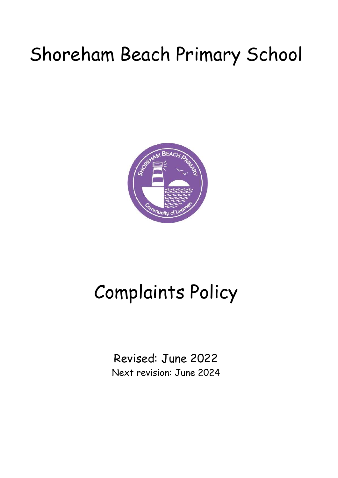## Shoreham Beach Primary School



# Complaints Policy

Revised: June 2022 Next revision: June 2024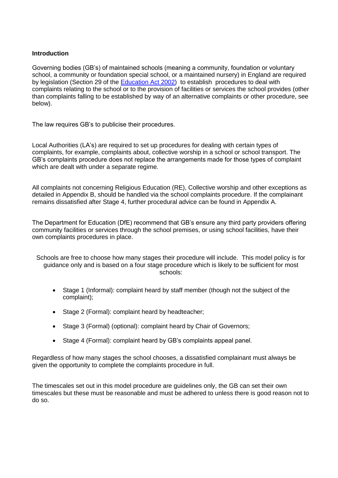## **Introduction**

Governing bodies (GB's) of maintained schools (meaning a community, foundation or voluntary school, a community or foundation special school, or a maintained nursery) in England are required by legislation (Section 29 of the [Education Act 2002\)](http://www.legislation.gov.uk/ukpga/2002/32/contents) to establish procedures to deal with complaints relating to the school or to the provision of facilities or services the school provides (other than complaints falling to be established by way of an alternative complaints or other procedure, see below).

The law requires GB's to publicise their procedures.

Local Authorities (LA's) are required to set up procedures for dealing with certain types of complaints, for example, complaints about, collective worship in a school or school transport. The GB's complaints procedure does not replace the arrangements made for those types of complaint which are dealt with under a separate regime.

All complaints not concerning Religious Education (RE), Collective worship and other exceptions as detailed in Appendix B, should be handled via the school complaints procedure. If the complainant remains dissatisfied after Stage 4, further procedural advice can be found in Appendix A.

The Department for Education (DfE) recommend that GB's ensure any third party providers offering community facilities or services through the school premises, or using school facilities, have their own complaints procedures in place.

Schools are free to choose how many stages their procedure will include. This model policy is for guidance only and is based on a four stage procedure which is likely to be sufficient for most schools:

- Stage 1 (Informal): complaint heard by staff member (though not the subject of the complaint);
- Stage 2 (Formal): complaint heard by headteacher;
- Stage 3 (Formal) (optional): complaint heard by Chair of Governors;
- Stage 4 (Formal): complaint heard by GB's complaints appeal panel.

Regardless of how many stages the school chooses, a dissatisfied complainant must always be given the opportunity to complete the complaints procedure in full.

The timescales set out in this model procedure are guidelines only, the GB can set their own timescales but these must be reasonable and must be adhered to unless there is good reason not to do so.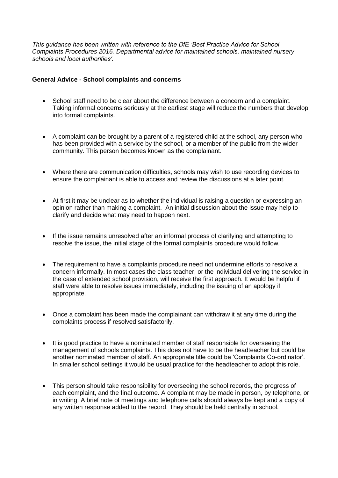*This guidance has been written with reference to the DfE 'Best Practice Advice for School Complaints Procedures 2016. Departmental advice for maintained schools, maintained nursery schools and local authorities'.*

## **General Advice - School complaints and concerns**

- School staff need to be clear about the difference between a concern and a complaint. Taking informal concerns seriously at the earliest stage will reduce the numbers that develop into formal complaints.
- A complaint can be brought by a parent of a registered child at the school, any person who has been provided with a service by the school, or a member of the public from the wider community. This person becomes known as the complainant.
- Where there are communication difficulties, schools may wish to use recording devices to ensure the complainant is able to access and review the discussions at a later point.
- At first it may be unclear as to whether the individual is raising a question or expressing an opinion rather than making a complaint. An initial discussion about the issue may help to clarify and decide what may need to happen next.
- If the issue remains unresolved after an informal process of clarifying and attempting to resolve the issue, the initial stage of the formal complaints procedure would follow.
- The requirement to have a complaints procedure need not undermine efforts to resolve a concern informally. In most cases the class teacher, or the individual delivering the service in the case of extended school provision, will receive the first approach. It would be helpful if staff were able to resolve issues immediately, including the issuing of an apology if appropriate.
- Once a complaint has been made the complainant can withdraw it at any time during the complaints process if resolved satisfactorily.
- It is good practice to have a nominated member of staff responsible for overseeing the management of schools complaints. This does not have to be the headteacher but could be another nominated member of staff. An appropriate title could be 'Complaints Co-ordinator'. In smaller school settings it would be usual practice for the headteacher to adopt this role.
- This person should take responsibility for overseeing the school records, the progress of each complaint, and the final outcome. A complaint may be made in person, by telephone, or in writing. A brief note of meetings and telephone calls should always be kept and a copy of any written response added to the record. They should be held centrally in school.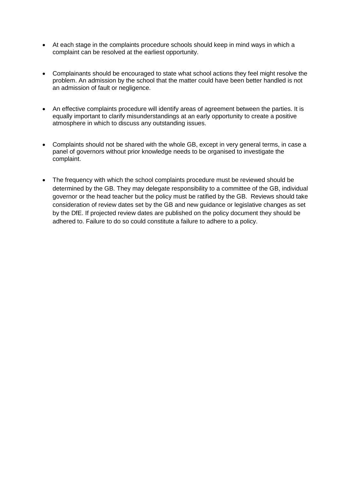- At each stage in the complaints procedure schools should keep in mind ways in which a complaint can be resolved at the earliest opportunity.
- Complainants should be encouraged to state what school actions they feel might resolve the problem. An admission by the school that the matter could have been better handled is not an admission of fault or negligence.
- An effective complaints procedure will identify areas of agreement between the parties. It is equally important to clarify misunderstandings at an early opportunity to create a positive atmosphere in which to discuss any outstanding issues.
- Complaints should not be shared with the whole GB, except in very general terms, in case a panel of governors without prior knowledge needs to be organised to investigate the complaint.
- The frequency with which the school complaints procedure must be reviewed should be determined by the GB. They may delegate responsibility to a committee of the GB, individual governor or the head teacher but the policy must be ratified by the GB. Reviews should take consideration of review dates set by the GB and new guidance or legislative changes as set by the DfE. If projected review dates are published on the policy document they should be adhered to. Failure to do so could constitute a failure to adhere to a policy.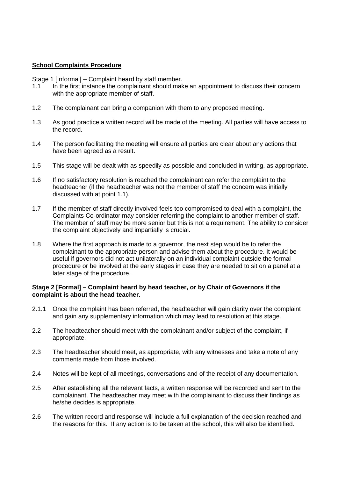### **School Complaints Procedure**

Stage 1 [Informal] – Complaint heard by staff member.

- 1.1 In the first instance the complainant should make an appointment to discuss their concern with the appropriate member of staff.
- 1.2 The complainant can bring a companion with them to any proposed meeting.
- 1.3 As good practice a written record will be made of the meeting. All parties will have access to the record.
- 1.4 The person facilitating the meeting will ensure all parties are clear about any actions that have been agreed as a result.
- 1.5 This stage will be dealt with as speedily as possible and concluded in writing, as appropriate.
- 1.6 If no satisfactory resolution is reached the complainant can refer the complaint to the headteacher (if the headteacher was not the member of staff the concern was initially discussed with at point 1.1).
- 1.7 If the member of staff directly involved feels too compromised to deal with a complaint, the Complaints Co-ordinator may consider referring the complaint to another member of staff. The member of staff may be more senior but this is not a requirement. The ability to consider the complaint objectively and impartially is crucial.
- 1.8 Where the first approach is made to a governor, the next step would be to refer the complainant to the appropriate person and advise them about the procedure. It would be useful if governors did not act unilaterally on an individual complaint outside the formal procedure or be involved at the early stages in case they are needed to sit on a panel at a later stage of the procedure.

#### **Stage 2 [Formal] – Complaint heard by head teacher, or by Chair of Governors if the complaint is about the head teacher.**

- 2.1.1 Once the complaint has been referred, the headteacher will gain clarity over the complaint and gain any supplementary information which may lead to resolution at this stage.
- 2.2 The headteacher should meet with the complainant and/or subject of the complaint, if appropriate.
- 2.3 The headteacher should meet, as appropriate, with any witnesses and take a note of any comments made from those involved.
- 2.4 Notes will be kept of all meetings, conversations and of the receipt of any documentation.
- 2.5 After establishing all the relevant facts, a written response will be recorded and sent to the complainant. The headteacher may meet with the complainant to discuss their findings as he/she decides is appropriate.
- 2.6 The written record and response will include a full explanation of the decision reached and the reasons for this. If any action is to be taken at the school, this will also be identified.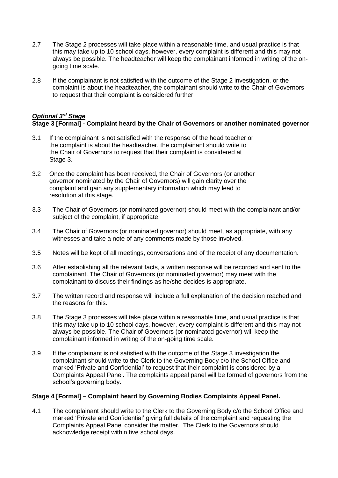- 2.7 The Stage 2 processes will take place within a reasonable time, and usual practice is that this may take up to 10 school days, however, every complaint is different and this may not always be possible. The headteacher will keep the complainant informed in writing of the ongoing time scale.
- 2.8 If the complainant is not satisfied with the outcome of the Stage 2 investigation, or the complaint is about the headteacher, the complainant should write to the Chair of Governors to request that their complaint is considered further.

## *Optional 3rd Stage*

## **Stage 3 [Formal] - Complaint heard by the Chair of Governors or another nominated governor**

- 3.1 If the complainant is not satisfied with the response of the head teacher or the complaint is about the headteacher, the complainant should write to the Chair of Governors to request that their complaint is considered at Stage 3.
- 3.2 Once the complaint has been received, the Chair of Governors (or another governor nominated by the Chair of Governors) will gain clarity over the complaint and gain any supplementary information which may lead to resolution at this stage.
- 3.3 The Chair of Governors (or nominated governor) should meet with the complainant and/or subject of the complaint, if appropriate.
- 3.4 The Chair of Governors (or nominated governor) should meet, as appropriate, with any witnesses and take a note of any comments made by those involved.
- 3.5 Notes will be kept of all meetings, conversations and of the receipt of any documentation.
- 3.6 After establishing all the relevant facts, a written response will be recorded and sent to the complainant. The Chair of Governors (or nominated governor) may meet with the complainant to discuss their findings as he/she decides is appropriate.
- 3.7 The written record and response will include a full explanation of the decision reached and the reasons for this.
- 3.8 The Stage 3 processes will take place within a reasonable time, and usual practice is that this may take up to 10 school days, however, every complaint is different and this may not always be possible. The Chair of Governors (or nominated governor) will keep the complainant informed in writing of the on-going time scale.
- 3.9 If the complainant is not satisfied with the outcome of the Stage 3 investigation the complainant should write to the Clerk to the Governing Body c/o the School Office and marked 'Private and Confidential' to request that their complaint is considered by a Complaints Appeal Panel. The complaints appeal panel will be formed of governors from the school's governing body.

## **Stage 4 [Formal] – Complaint heard by Governing Bodies Complaints Appeal Panel.**

4.1 The complainant should write to the Clerk to the Governing Body c/o the School Office and marked 'Private and Confidential' giving full details of the complaint and requesting the Complaints Appeal Panel consider the matter. The Clerk to the Governors should acknowledge receipt within five school days.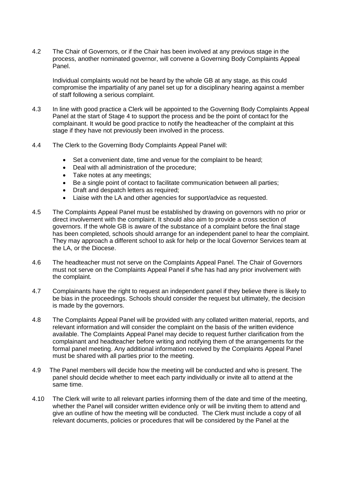4.2 The Chair of Governors, or if the Chair has been involved at any previous stage in the process, another nominated governor, will convene a Governing Body Complaints Appeal Panel.

Individual complaints would not be heard by the whole GB at any stage, as this could compromise the impartiality of any panel set up for a disciplinary hearing against a member of staff following a serious complaint.

- 4.3 In line with good practice a Clerk will be appointed to the Governing Body Complaints Appeal Panel at the start of Stage 4 to support the process and be the point of contact for the complainant. It would be good practice to notify the headteacher of the complaint at this stage if they have not previously been involved in the process.
- 4.4 The Clerk to the Governing Body Complaints Appeal Panel will:
	- Set a convenient date, time and venue for the complaint to be heard;
	- Deal with all administration of the procedure;
	- Take notes at any meetings;
	- Be a single point of contact to facilitate communication between all parties;
	- Draft and despatch letters as required;
	- Liaise with the LA and other agencies for support/advice as requested.
- 4.5 The Complaints Appeal Panel must be established by drawing on governors with no prior or direct involvement with the complaint. It should also aim to provide a cross section of governors. If the whole GB is aware of the substance of a complaint before the final stage has been completed, schools should arrange for an independent panel to hear the complaint. They may approach a different school to ask for help or the local Governor Services team at the LA, or the Diocese.
- 4.6 The headteacher must not serve on the Complaints Appeal Panel. The Chair of Governors must not serve on the Complaints Appeal Panel if s/he has had any prior involvement with the complaint.
- 4.7 Complainants have the right to request an independent panel if they believe there is likely to be bias in the proceedings. Schools should consider the request but ultimately, the decision is made by the governors.
- 4.8 The Complaints Appeal Panel will be provided with any collated written material, reports, and relevant information and will consider the complaint on the basis of the written evidence available. The Complaints Appeal Panel may decide to request further clarification from the complainant and headteacher before writing and notifying them of the arrangements for the formal panel meeting. Any additional information received by the Complaints Appeal Panel must be shared with all parties prior to the meeting.
- 4.9 The Panel members will decide how the meeting will be conducted and who is present. The panel should decide whether to meet each party individually or invite all to attend at the same time.
- 4.10 The Clerk will write to all relevant parties informing them of the date and time of the meeting, whether the Panel will consider written evidence only or will be inviting them to attend and give an outline of how the meeting will be conducted. The Clerk must include a copy of all relevant documents, policies or procedures that will be considered by the Panel at the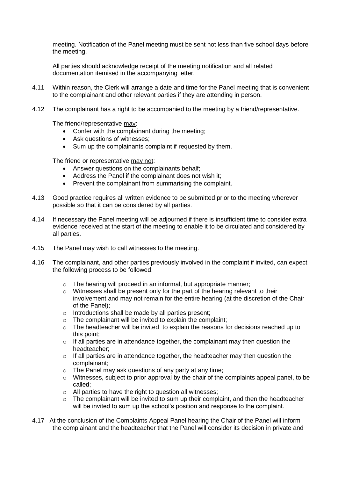meeting. Notification of the Panel meeting must be sent not less than five school days before the meeting.

All parties should acknowledge receipt of the meeting notification and all related documentation itemised in the accompanying letter.

- 4.11 Within reason, the Clerk will arrange a date and time for the Panel meeting that is convenient to the complainant and other relevant parties if they are attending in person.
- 4.12 The complainant has a right to be accompanied to the meeting by a friend/representative.

The friend/representative may:

- Confer with the complainant during the meeting;
- Ask questions of witnesses;
- Sum up the complainants complaint if requested by them.

The friend or representative may not:

- Answer questions on the complainants behalf;
- Address the Panel if the complainant does not wish it;
- Prevent the complainant from summarising the complaint.
- 4.13 Good practice requires all written evidence to be submitted prior to the meeting wherever possible so that it can be considered by all parties.
- 4.14 If necessary the Panel meeting will be adjourned if there is insufficient time to consider extra evidence received at the start of the meeting to enable it to be circulated and considered by all parties.
- 4.15 The Panel may wish to call witnesses to the meeting.
- 4.16 The complainant, and other parties previously involved in the complaint if invited, can expect the following process to be followed:
	- o The hearing will proceed in an informal, but appropriate manner;
	- $\circ$  Witnesses shall be present only for the part of the hearing relevant to their involvement and may not remain for the entire hearing (at the discretion of the Chair of the Panel);
	- o Introductions shall be made by all parties present;
	- o The complainant will be invited to explain the complaint;
	- $\circ$  The headteacher will be invited to explain the reasons for decisions reached up to this point;
	- $\circ$  If all parties are in attendance together, the complainant may then question the headteacher;
	- o If all parties are in attendance together, the headteacher may then question the complainant;
	- o The Panel may ask questions of any party at any time;
	- $\circ$  Witnesses, subject to prior approval by the chair of the complaints appeal panel, to be called;
	- o All parties to have the right to question all witnesses;
	- o The complainant will be invited to sum up their complaint, and then the headteacher will be invited to sum up the school's position and response to the complaint.
- 4.17 At the conclusion of the Complaints Appeal Panel hearing the Chair of the Panel will inform the complainant and the headteacher that the Panel will consider its decision in private and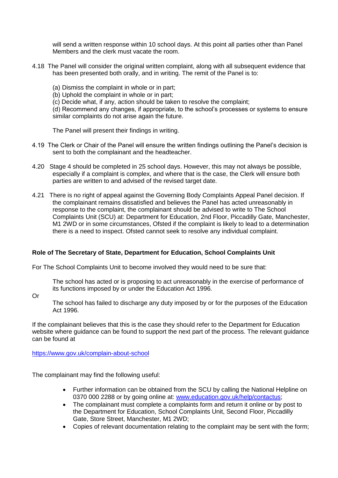will send a written response within 10 school days. At this point all parties other than Panel Members and the clerk must vacate the room.

- 4.18 The Panel will consider the original written complaint, along with all subsequent evidence that has been presented both orally, and in writing. The remit of the Panel is to:
	- (a) Dismiss the complaint in whole or in part;
	- (b) Uphold the complaint in whole or in part;
	- (c) Decide what, if any, action should be taken to resolve the complaint;

(d) Recommend any changes, if appropriate, to the school's processes or systems to ensure similar complaints do not arise again the future.

The Panel will present their findings in writing.

- 4.19 The Clerk or Chair of the Panel will ensure the written findings outlining the Panel's decision is sent to both the complainant and the headteacher.
- 4.20 Stage 4 should be completed in 25 school days. However, this may not always be possible, especially if a complaint is complex, and where that is the case, the Clerk will ensure both parties are written to and advised of the revised target date.
- 4.21 There is no right of appeal against the Governing Body Complaints Appeal Panel decision. If the complainant remains dissatisfied and believes the Panel has acted unreasonably in response to the complaint, the complainant should be advised to write to The School Complaints Unit (SCU) at: Department for Education, 2nd Floor, Piccadilly Gate, Manchester, M1 2WD or in some circumstances, Ofsted if the complaint is likely to lead to a determination there is a need to inspect. Ofsted cannot seek to resolve any individual complaint.

## **Role of The Secretary of State, Department for Education, School Complaints Unit**

For The School Complaints Unit to become involved they would need to be sure that:

The school has acted or is proposing to act unreasonably in the exercise of performance of its functions imposed by or under the Education Act 1996.

Or

The school has failed to discharge any duty imposed by or for the purposes of the Education Act 1996.

If the complainant believes that this is the case they should refer to the Department for Education website where guidance can be found to support the next part of the process. The relevant guidance can be found at

<https://www.gov.uk/complain-about-school>

The complainant may find the following useful:

- Further information can be obtained from the SCU by calling the National Helpline on 0370 000 2288 or by going online at: [www.education.gov.uk/help/contactus;](http://www.education.gov.uk/help/contactus)
- The complainant must complete a complaints form and return it online or by post to the Department for Education, School Complaints Unit, Second Floor, Piccadilly Gate, Store Street, Manchester, M1 2WD;
- Copies of relevant documentation relating to the complaint may be sent with the form;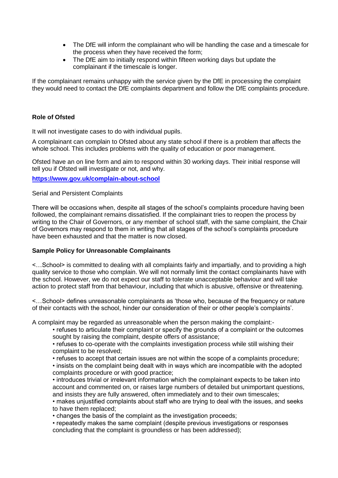- The DfE will inform the complainant who will be handling the case and a timescale for the process when they have received the form;
- The DfE aim to initially respond within fifteen working days but update the complainant if the timescale is longer.

If the complainant remains unhappy with the service given by the DfE in processing the complaint they would need to contact the DfE complaints department and follow the DfE complaints procedure.

## **Role of Ofsted**

It will not investigate cases to do with individual pupils.

A complainant can complain to Ofsted about any state school if there is a problem that affects the whole school. This includes problems with the quality of education or poor management.

Ofsted have an on line form and aim to respond within 30 working days. Their initial response will tell you if Ofsted will investigate or not, and why.

**<https://www.gov.uk/complain-about-school>**

#### Serial and Persistent Complaints

There will be occasions when, despite all stages of the school's complaints procedure having been followed, the complainant remains dissatisfied. If the complainant tries to reopen the process by writing to the Chair of Governors, or any member of school staff, with the same complaint, the Chair of Governors may respond to them in writing that all stages of the school's complaints procedure have been exhausted and that the matter is now closed.

## **Sample Policy for Unreasonable Complainants**

<…School> is committed to dealing with all complaints fairly and impartially, and to providing a high quality service to those who complain. We will not normally limit the contact complainants have with the school. However, we do not expect our staff to tolerate unacceptable behaviour and will take action to protect staff from that behaviour, including that which is abusive, offensive or threatening.

<…School> defines unreasonable complainants as 'those who, because of the frequency or nature of their contacts with the school, hinder our consideration of their or other people's complaints'.

A complaint may be regarded as unreasonable when the person making the complaint:-

• refuses to articulate their complaint or specify the grounds of a complaint or the outcomes sought by raising the complaint, despite offers of assistance;

• refuses to co-operate with the complaints investigation process while still wishing their complaint to be resolved;

• refuses to accept that certain issues are not within the scope of a complaints procedure;

• insists on the complaint being dealt with in ways which are incompatible with the adopted complaints procedure or with good practice;

• introduces trivial or irrelevant information which the complainant expects to be taken into account and commented on, or raises large numbers of detailed but unimportant questions, and insists they are fully answered, often immediately and to their own timescales;

• makes unjustified complaints about staff who are trying to deal with the issues, and seeks to have them replaced;

• changes the basis of the complaint as the investigation proceeds;

• repeatedly makes the same complaint (despite previous investigations or responses concluding that the complaint is groundless or has been addressed);